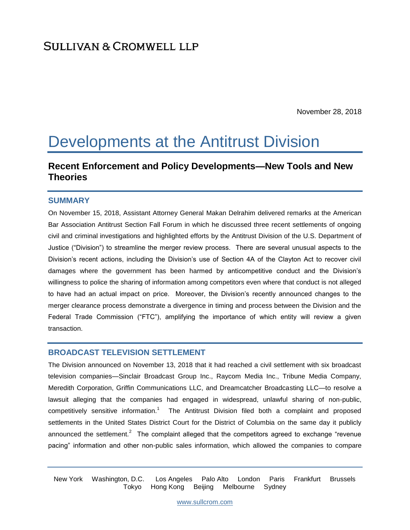November 28, 2018

# Developments at the Antitrust Division

# **Recent Enforcement and Policy Developments—New Tools and New Theories**

#### **SUMMARY**

On November 15, 2018, Assistant Attorney General Makan Delrahim delivered remarks at the American Bar Association Antitrust Section Fall Forum in which he discussed three recent settlements of ongoing civil and criminal investigations and highlighted efforts by the Antitrust Division of the U.S. Department of Justice ("Division") to streamline the merger review process. There are several unusual aspects to the Division's recent actions, including the Division's use of Section 4A of the Clayton Act to recover civil damages where the government has been harmed by anticompetitive conduct and the Division's willingness to police the sharing of information among competitors even where that conduct is not alleged to have had an actual impact on price. Moreover, the Division's recently announced changes to the merger clearance process demonstrate a divergence in timing and process between the Division and the Federal Trade Commission ("FTC"), amplifying the importance of which entity will review a given transaction.

#### **BROADCAST TELEVISION SETTLEMENT**

The Division announced on November 13, 2018 that it had reached a civil settlement with six broadcast television companies—Sinclair Broadcast Group Inc., Raycom Media Inc., Tribune Media Company, Meredith Corporation, Griffin Communications LLC, and Dreamcatcher Broadcasting LLC—to resolve a lawsuit alleging that the companies had engaged in widespread, unlawful sharing of non-public, competitively sensitive information.<sup>1</sup> The Antitrust Division filed both a complaint and proposed settlements in the United States District Court for the District of Columbia on the same day it publicly announced the settlement.<sup>2</sup> The complaint alleged that the competitors agreed to exchange "revenue pacing" information and other non-public sales information, which allowed the companies to compare

New York Washington, D.C. Los Angeles Palo Alto London Paris Frankfurt Brussels Tokyo Hong Kong Beijing Melbourne Sydney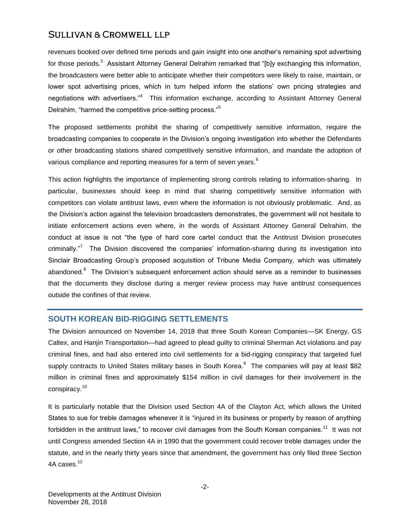revenues booked over defined time periods and gain insight into one another's remaining spot advertising for those periods.<sup>3</sup> Assistant Attorney General Delrahim remarked that "[b]y exchanging this information, the broadcasters were better able to anticipate whether their competitors were likely to raise, maintain, or lower spot advertising prices, which in turn helped inform the stations' own pricing strategies and negotiations with advertisers."<sup>4</sup> This information exchange, according to Assistant Attorney General Delrahim, "harmed the competitive price-setting process."<sup>5</sup>

The proposed settlements prohibit the sharing of competitively sensitive information, require the broadcasting companies to cooperate in the Division's ongoing investigation into whether the Defendants or other broadcasting stations shared competitively sensitive information, and mandate the adoption of various compliance and reporting measures for a term of seven years.<sup>6</sup>

This action highlights the importance of implementing strong controls relating to information-sharing. In particular, businesses should keep in mind that sharing competitively sensitive information with competitors can violate antitrust laws, even where the information is not obviously problematic. And, as the Division's action against the television broadcasters demonstrates, the government will not hesitate to initiate enforcement actions even where, in the words of Assistant Attorney General Delrahim, the conduct at issue is not "the type of hard core cartel conduct that the Antitrust Division prosecutes criminally."<sup>7</sup> The Division discovered the companies' information-sharing during its investigation into Sinclair Broadcasting Group's proposed acquisition of Tribune Media Company, which was ultimately abandoned.<sup>8</sup> The Division's subsequent enforcement action should serve as a reminder to businesses that the documents they disclose during a merger review process may have antitrust consequences outside the confines of that review.

# **SOUTH KOREAN BID-RIGGING SETTLEMENTS**

The Division announced on November 14, 2018 that three South Korean Companies—SK Energy, GS Caltex, and Hanjin Transportation—had agreed to plead guilty to criminal Sherman Act violations and pay criminal fines, and had also entered into civil settlements for a bid-rigging conspiracy that targeted fuel supply contracts to United States military bases in South Korea.<sup>9</sup> The companies will pay at least \$82 million in criminal fines and approximately \$154 million in civil damages for their involvement in the conspiracy.<sup>10</sup>

It is particularly notable that the Division used Section 4A of the Clayton Act, which allows the United States to sue for treble damages whenever it is "injured in its business or property by reason of anything forbidden in the antitrust laws," to recover civil damages from the South Korean companies.<sup>11</sup> It was not until Congress amended Section 4A in 1990 that the government could recover treble damages under the statute, and in the nearly thirty years since that amendment, the government has only filed three Section 4A cases.<sup>12</sup>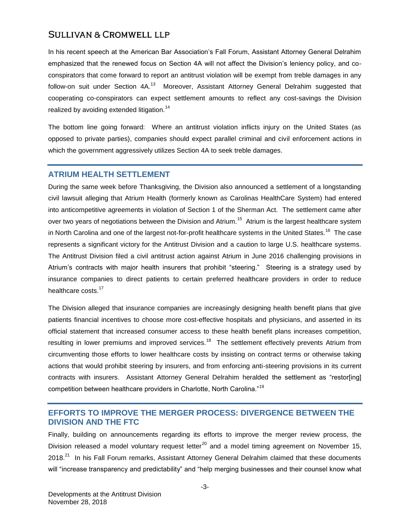In his recent speech at the American Bar Association's Fall Forum, Assistant Attorney General Delrahim emphasized that the renewed focus on Section 4A will not affect the Division's leniency policy, and coconspirators that come forward to report an antitrust violation will be exempt from treble damages in any follow-on suit under Section 4A.<sup>13</sup> Moreover, Assistant Attorney General Delrahim suggested that cooperating co-conspirators can expect settlement amounts to reflect any cost-savings the Division realized by avoiding extended litigation.<sup>14</sup>

The bottom line going forward: Where an antitrust violation inflicts injury on the United States (as opposed to private parties), companies should expect parallel criminal and civil enforcement actions in which the government aggressively utilizes Section 4A to seek treble damages.

### **ATRIUM HEALTH SETTLEMENT**

During the same week before Thanksgiving, the Division also announced a settlement of a longstanding civil lawsuit alleging that Atrium Health (formerly known as Carolinas HealthCare System) had entered into anticompetitive agreements in violation of Section 1 of the Sherman Act. The settlement came after over two years of negotiations between the Division and Atrium.<sup>15</sup> Atrium is the largest healthcare system in North Carolina and one of the largest not-for-profit healthcare systems in the United States.<sup>16</sup> The case represents a significant victory for the Antitrust Division and a caution to large U.S. healthcare systems. The Antitrust Division filed a civil antitrust action against Atrium in June 2016 challenging provisions in Atrium's contracts with major health insurers that prohibit "steering." Steering is a strategy used by insurance companies to direct patients to certain preferred healthcare providers in order to reduce healthcare costs.<sup>17</sup>

The Division alleged that insurance companies are increasingly designing health benefit plans that give patients financial incentives to choose more cost-effective hospitals and physicians, and asserted in its official statement that increased consumer access to these health benefit plans increases competition, resulting in lower premiums and improved services.<sup>18</sup> The settlement effectively prevents Atrium from circumventing those efforts to lower healthcare costs by insisting on contract terms or otherwise taking actions that would prohibit steering by insurers, and from enforcing anti-steering provisions in its current contracts with insurers. Assistant Attorney General Delrahim heralded the settlement as "restor[ing] competition between healthcare providers in Charlotte, North Carolina."<sup>19</sup>

# **EFFORTS TO IMPROVE THE MERGER PROCESS: DIVERGENCE BETWEEN THE DIVISION AND THE FTC**

Finally, building on announcements regarding its efforts to improve the merger review process, the Division released a model voluntary request letter<sup>20</sup> and a model timing agreement on November 15, 2018.<sup>21</sup> In his Fall Forum remarks, Assistant Attorney General Delrahim claimed that these documents will "increase transparency and predictability" and "help merging businesses and their counsel know what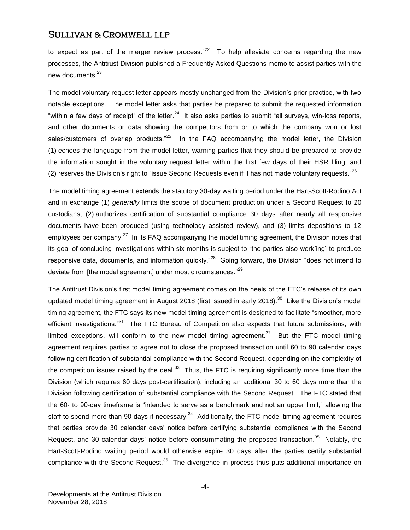to expect as part of the merger review process."<sup>22</sup> To help alleviate concerns regarding the new processes, the Antitrust Division published a Frequently Asked Questions memo to assist parties with the new documents.<sup>23</sup>

The model voluntary request letter appears mostly unchanged from the Division's prior practice, with two notable exceptions. The model letter asks that parties be prepared to submit the requested information "within a few days of receipt" of the letter.<sup>24</sup> It also asks parties to submit "all surveys, win-loss reports, and other documents or data showing the competitors from or to which the company won or lost sales/customers of overlap products."<sup>25</sup> In the FAQ accompanying the model letter, the Division (1) echoes the language from the model letter, warning parties that they should be prepared to provide the information sought in the voluntary request letter within the first few days of their HSR filing, and (2) reserves the Division's right to "issue Second Requests even if it has not made voluntary requests."<sup>26</sup>

The model timing agreement extends the statutory 30-day waiting period under the Hart-Scott-Rodino Act and in exchange (1) *generally* limits the scope of document production under a Second Request to 20 custodians, (2) authorizes certification of substantial compliance 30 days after nearly all responsive documents have been produced (using technology assisted review), and (3) limits depositions to 12 employees per company.<sup>27</sup> In its FAQ accompanying the model timing agreement, the Division notes that its goal of concluding investigations within six months is subject to "the parties also work[ing] to produce responsive data, documents, and information quickly."<sup>28</sup> Going forward, the Division "does not intend to deviate from [the model agreement] under most circumstances."<sup>29</sup>

The Antitrust Division's first model timing agreement comes on the heels of the FTC's release of its own updated model timing agreement in August 2018 (first issued in early 2018).<sup>30</sup> Like the Division's model timing agreement, the FTC says its new model timing agreement is designed to facilitate "smoother, more efficient investigations."<sup>31</sup> The FTC Bureau of Competition also expects that future submissions, with limited exceptions, will conform to the new model timing agreement.<sup>32</sup> But the FTC model timing agreement requires parties to agree not to close the proposed transaction until 60 to 90 calendar days following certification of substantial compliance with the Second Request, depending on the complexity of the competition issues raised by the deal.<sup>33</sup> Thus, the FTC is requiring significantly more time than the Division (which requires 60 days post-certification), including an additional 30 to 60 days more than the Division following certification of substantial compliance with the Second Request. The FTC stated that the 60- to 90-day timeframe is "intended to serve as a benchmark and not an upper limit," allowing the staff to spend more than 90 days if necessary. $34$  Additionally, the FTC model timing agreement requires that parties provide 30 calendar days' notice before certifying substantial compliance with the Second Request, and 30 calendar days' notice before consummating the proposed transaction.<sup>35</sup> Notably, the Hart-Scott-Rodino waiting period would otherwise expire 30 days after the parties certify substantial compliance with the Second Request.<sup>36</sup> The divergence in process thus puts additional importance on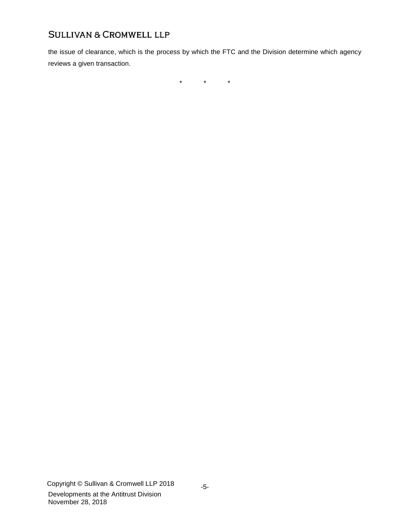the issue of clearance, which is the process by which the FTC and the Division determine which agency reviews a given transaction.

\* \* \*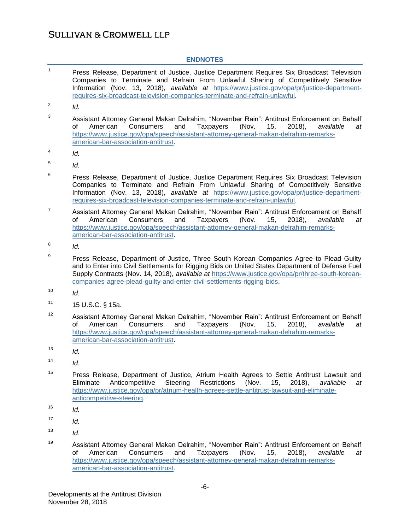### **ENDNOTES**

| 1  | Press Release, Department of Justice, Justice Department Requires Six Broadcast Television<br>Companies to Terminate and Refrain From Unlawful Sharing of Competitively Sensitive<br>Information (Nov. 13, 2018), available at https://www.justice.gov/opa/pr/justice-department-<br>requires-six-broadcast-television-companies-terminate-and-refrain-unlawful.            |  |  |
|----|-----------------------------------------------------------------------------------------------------------------------------------------------------------------------------------------------------------------------------------------------------------------------------------------------------------------------------------------------------------------------------|--|--|
| 2  | Id.                                                                                                                                                                                                                                                                                                                                                                         |  |  |
| 3  | Assistant Attorney General Makan Delrahim, "November Rain": Antitrust Enforcement on Behalf<br>of<br>American<br>Consumers<br>(Nov.<br>15,<br>$2018$ ,<br>and<br>Taxpayers<br>available<br>at<br>https://www.justice.gov/opa/speech/assistant-attorney-general-makan-delrahim-remarks-<br>american-bar-association-antitrust.                                               |  |  |
| 4  | ld.                                                                                                                                                                                                                                                                                                                                                                         |  |  |
| 5  | Id.                                                                                                                                                                                                                                                                                                                                                                         |  |  |
| 6  | Press Release, Department of Justice, Justice Department Requires Six Broadcast Television<br>Companies to Terminate and Refrain From Unlawful Sharing of Competitively Sensitive<br>Information (Nov. 13, 2018), available at https://www.justice.gov/opa/pr/justice-department-<br>requires-six-broadcast-television-companies-terminate-and-refrain-unlawful.            |  |  |
| 7  | Assistant Attorney General Makan Delrahim, "November Rain": Antitrust Enforcement on Behalf<br>Consumers<br><b>Taxpayers</b><br>(Nov.<br>οf<br>American<br>and<br>15,<br>2018,<br>available<br>at<br>https://www.justice.gov/opa/speech/assistant-attorney-general-makan-delrahim-remarks-<br>american-bar-association-antitrust.                                           |  |  |
| 8  | ld.                                                                                                                                                                                                                                                                                                                                                                         |  |  |
| 9  | Press Release, Department of Justice, Three South Korean Companies Agree to Plead Guilty<br>and to Enter into Civil Settlements for Rigging Bids on United States Department of Defense Fuel<br>Supply Contracts (Nov. 14, 2018), available at https://www.justice.gov/opa/pr/three-south-korean-<br>companies-agree-plead-guilty-and-enter-civil-settlements-rigging-bids. |  |  |
| 10 | Id.                                                                                                                                                                                                                                                                                                                                                                         |  |  |
| 11 | 15 U.S.C. § 15a.                                                                                                                                                                                                                                                                                                                                                            |  |  |
| 12 | Assistant Attorney General Makan Delrahim, "November Rain": Antitrust Enforcement on Behalf<br>of<br>American<br>Consumers<br>and<br><b>Taxpayers</b><br>(Nov.<br>15,<br>2018,<br>available<br>at<br>https://www.justice.gov/opa/speech/assistant-attorney-general-makan-delrahim-remarks-<br>american-bar-association-antitrust.                                           |  |  |
| 13 | ld.                                                                                                                                                                                                                                                                                                                                                                         |  |  |
| 14 | ld.                                                                                                                                                                                                                                                                                                                                                                         |  |  |
| 15 | Press Release, Department of Justice, Atrium Health Agrees to Settle Antitrust Lawsuit and<br>Restrictions<br>Eliminate<br>Anticompetitive<br>Steering<br>(Nov.<br>15,<br>2018),<br>available<br>at<br>https://www.justice.gov/opa/pr/atrium-health-agrees-settle-antitrust-lawsuit-and-eliminate-<br>anticompetitive-steering.                                             |  |  |
| 16 | Id.                                                                                                                                                                                                                                                                                                                                                                         |  |  |
| 17 | Id.                                                                                                                                                                                                                                                                                                                                                                         |  |  |
| 18 | Id.                                                                                                                                                                                                                                                                                                                                                                         |  |  |
| 19 | Assistant Attorney General Makan Delrahim, "November Rain": Antitrust Enforcement on Behalf                                                                                                                                                                                                                                                                                 |  |  |

of American Consumers and Taxpayers (Nov. 15, 2018), *available at* [https://www.justice.gov/opa/speech/assistant-attorney-general-makan-delrahim-remarks](https://www.justice.gov/opa/speech/assistant-attorney-general-makan-delrahim-remarks-american-bar-association-antitrust)[american-bar-association-antitrust.](https://www.justice.gov/opa/speech/assistant-attorney-general-makan-delrahim-remarks-american-bar-association-antitrust)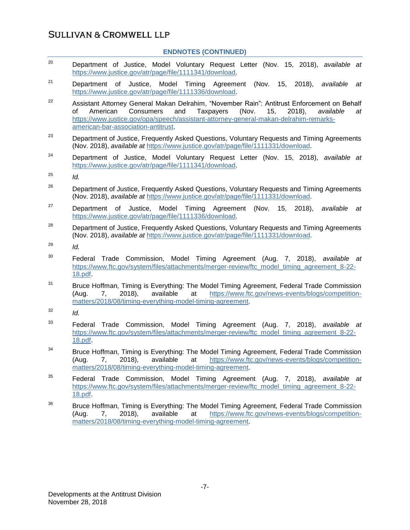#### **ENDNOTES (CONTINUED)**

- <sup>20</sup> Department of Justice, Model Voluntary Request Letter (Nov. 15, 2018), *available at* [https://www.justice.gov/atr/page/file/1111341/download.](https://www.justice.gov/atr/page/file/1111341/download)
- <sup>21</sup> Department of Justice, Model Timing Agreement (Nov. 15, 2018), *available at*  [https://www.justice.gov/atr/page/file/1111336/download.](https://www.justice.gov/atr/page/file/1111336/download)
- <sup>22</sup> Assistant Attorney General Makan Delrahim, "November Rain": Antitrust Enforcement on Behalf of American Consumers and Taxpayers (Nov. 15, 2018), *available at* [https://www.justice.gov/opa/speech/assistant-attorney-general-makan-delrahim-remarks](https://www.justice.gov/opa/speech/assistant-attorney-general-makan-delrahim-remarks-american-bar-association-antitrust)[american-bar-association-antitrust.](https://www.justice.gov/opa/speech/assistant-attorney-general-makan-delrahim-remarks-american-bar-association-antitrust)
- $23$  Department of Justice, Frequently Asked Questions, Voluntary Requests and Timing Agreements (Nov. 2018), *available at* [https://www.justice.gov/atr/page/file/1111331/download.](https://www.justice.gov/atr/page/file/1111331/download)
- <sup>24</sup> Department of Justice, Model Voluntary Request Letter (Nov. 15, 2018), *available at* [https://www.justice.gov/atr/page/file/1111341/download.](https://www.justice.gov/atr/page/file/1111341/download)
- $^{25}$  *Id.*
- <sup>26</sup> Department of Justice, Frequently Asked Questions, Voluntary Requests and Timing Agreements (Nov. 2018), *available at* [https://www.justice.gov/atr/page/file/1111331/download.](https://www.justice.gov/atr/page/file/1111331/download)
- <sup>27</sup> Department of Justice, Model Timing Agreement (Nov. 15, 2018), *available at*  [https://www.justice.gov/atr/page/file/1111336/download.](https://www.justice.gov/atr/page/file/1111336/download)
- <sup>28</sup> Department of Justice, Frequently Asked Questions, Voluntary Requests and Timing Agreements (Nov. 2018), *available at* [https://www.justice.gov/atr/page/file/1111331/download.](https://www.justice.gov/atr/page/file/1111331/download)
- <sup>29</sup> *Id.*
- <sup>30</sup> Federal Trade Commission, Model Timing Agreement (Aug. 7, 2018), *available at* [https://www.ftc.gov/system/files/attachments/merger-review/ftc\\_model\\_timing\\_agreement\\_8-22-](https://www.ftc.gov/system/files/attachments/merger-review/ftc_model_timing_agreement_8-22-18.pdf) [18.pdf.](https://www.ftc.gov/system/files/attachments/merger-review/ftc_model_timing_agreement_8-22-18.pdf)
- $31$  Bruce Hoffman, Timing is Everything: The Model Timing Agreement, Federal Trade Commission (Aug. 7, 2018), available at [https://www.ftc.gov/news-events/blogs/competition](https://www.ftc.gov/news-events/blogs/competition-matters/2018/08/timing-everything-model-timing-agreement)[matters/2018/08/timing-everything-model-timing-agreement.](https://www.ftc.gov/news-events/blogs/competition-matters/2018/08/timing-everything-model-timing-agreement)
- $^{32}$  *Id.*
- <sup>33</sup> Federal Trade Commission, Model Timing Agreement (Aug. 7, 2018), *available at* [https://www.ftc.gov/system/files/attachments/merger-review/ftc\\_model\\_timing\\_agreement\\_8-22-](https://www.ftc.gov/system/files/attachments/merger-review/ftc_model_timing_agreement_8-22-18.pdf) [18.pdf.](https://www.ftc.gov/system/files/attachments/merger-review/ftc_model_timing_agreement_8-22-18.pdf)
- $34$  Bruce Hoffman, Timing is Everything: The Model Timing Agreement, Federal Trade Commission<br>(Aug. 7. 2018), available at https://www.ftc.gov/news-events/blogs/competition-(Aug. 7, 2018), available at [https://www.ftc.gov/news-events/blogs/competition](https://www.ftc.gov/news-events/blogs/competition-matters/2018/08/timing-everything-model-timing-agreement)[matters/2018/08/timing-everything-model-timing-agreement.](https://www.ftc.gov/news-events/blogs/competition-matters/2018/08/timing-everything-model-timing-agreement)
- <sup>35</sup> Federal Trade Commission, Model Timing Agreement (Aug. 7, 2018), *available at* [https://www.ftc.gov/system/files/attachments/merger-review/ftc\\_model\\_timing\\_agreement\\_8-22-](https://www.ftc.gov/system/files/attachments/merger-review/ftc_model_timing_agreement_8-22-18.pdf) [18.pdf.](https://www.ftc.gov/system/files/attachments/merger-review/ftc_model_timing_agreement_8-22-18.pdf)
- <sup>36</sup> Bruce Hoffman, Timing is Everything: The Model Timing Agreement, Federal Trade Commission (Aug. 7, 2018), available at [https://www.ftc.gov/news-events/blogs/competition](https://www.ftc.gov/news-events/blogs/competition-matters/2018/08/timing-everything-model-timing-agreement)[matters/2018/08/timing-everything-model-timing-agreement.](https://www.ftc.gov/news-events/blogs/competition-matters/2018/08/timing-everything-model-timing-agreement)